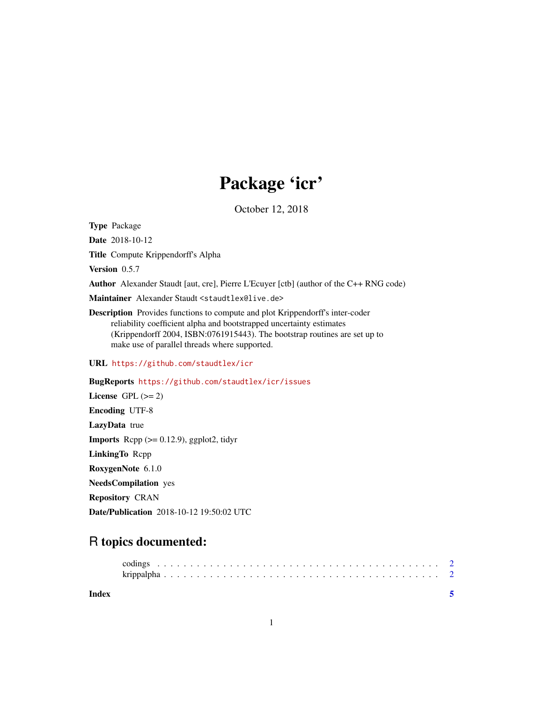## Package 'icr'

October 12, 2018

Type Package

Date 2018-10-12

Title Compute Krippendorff's Alpha

Version 0.5.7

Author Alexander Staudt [aut, cre], Pierre L'Ecuyer [ctb] (author of the C++ RNG code)

Maintainer Alexander Staudt <staudtlex@live.de>

Description Provides functions to compute and plot Krippendorff's inter-coder reliability coefficient alpha and bootstrapped uncertainty estimates (Krippendorff 2004, ISBN:0761915443). The bootstrap routines are set up to make use of parallel threads where supported.

URL <https://github.com/staudtlex/icr>

BugReports <https://github.com/staudtlex/icr/issues> License GPL  $(>= 2)$ Encoding UTF-8 LazyData true **Imports** Rcpp  $(>= 0.12.9)$ , ggplot2, tidyr LinkingTo Rcpp RoxygenNote 6.1.0 NeedsCompilation yes Repository CRAN Date/Publication 2018-10-12 19:50:02 UTC

### R topics documented:

**Index** [5](#page-4-0). The second state of the second state of the second state of the second state of the second state of the second state of the second state of the second state of the second state of the second state of the second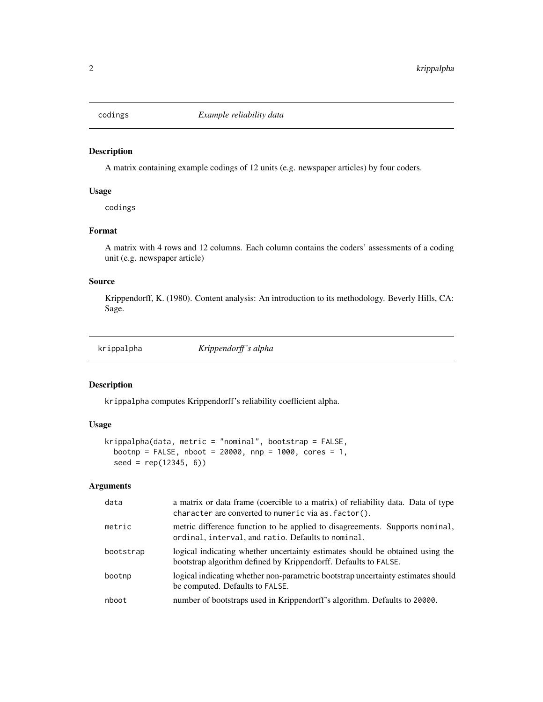<span id="page-1-0"></span>

#### Description

A matrix containing example codings of 12 units (e.g. newspaper articles) by four coders.

#### Usage

codings

#### Format

A matrix with 4 rows and 12 columns. Each column contains the coders' assessments of a coding unit (e.g. newspaper article)

#### Source

Krippendorff, K. (1980). Content analysis: An introduction to its methodology. Beverly Hills, CA: Sage.

krippalpha *Krippendorff 's alpha*

#### Description

krippalpha computes Krippendorff's reliability coefficient alpha.

#### Usage

```
krippalpha(data, metric = "nominal", bootstrap = FALSE,
 bootnp = FALSE, nboot = 20000, nnp = 1000, cores = 1,
  seed = rep(12345, 6))
```
#### Arguments

| data      | a matrix or data frame (coercible to a matrix) of reliability data. Data of type<br>character are converted to numeric via as. factor().         |
|-----------|--------------------------------------------------------------------------------------------------------------------------------------------------|
| metric    | metric difference function to be applied to disagreements. Supports nominal,<br>ordinal, interval, and ratio. Defaults to nominal.               |
| bootstrap | logical indicating whether uncertainty estimates should be obtained using the<br>bootstrap algorithm defined by Krippendorff. Defaults to FALSE. |
| bootnp    | logical indicating whether non-parametric bootstrap uncertainty estimates should<br>be computed. Defaults to FALSE.                              |
| nboot     | number of bootstraps used in Krippendorff's algorithm. Defaults to 20000.                                                                        |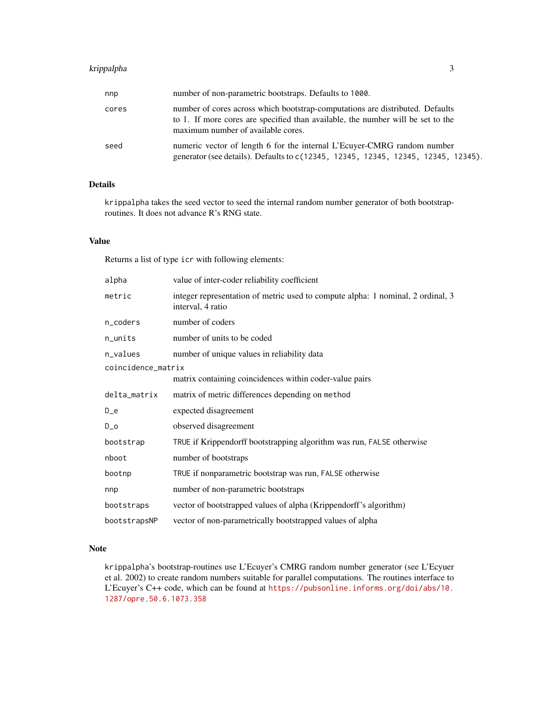#### krippalpha 3

| nnp   | number of non-parametric bootstraps. Defaults to 1000.                                                                                                                                                 |
|-------|--------------------------------------------------------------------------------------------------------------------------------------------------------------------------------------------------------|
| cores | number of cores across which bootstrap-computations are distributed. Defaults<br>to 1. If more cores are specified than available, the number will be set to the<br>maximum number of available cores. |
| seed  | numeric vector of length 6 for the internal L'Ecuver-CMRG random number<br>generator (see details). Defaults to c(12345, 12345, 12345, 12345, 12345, 12345).                                           |

#### Details

krippalpha takes the seed vector to seed the internal random number generator of both bootstraproutines. It does not advance R's RNG state.

#### Value

Returns a list of type icr with following elements:

| alpha              | value of inter-coder reliability coefficient                                                         |
|--------------------|------------------------------------------------------------------------------------------------------|
| metric             | integer representation of metric used to compute alpha: 1 nominal, 2 ordinal, 3<br>interval, 4 ratio |
| n_coders           | number of coders                                                                                     |
| n_units            | number of units to be coded                                                                          |
| n_values           | number of unique values in reliability data                                                          |
| coincidence_matrix |                                                                                                      |
|                    | matrix containing coincidences within coder-value pairs                                              |
| delta_matrix       | matrix of metric differences depending on method                                                     |
| $D_e$              | expected disagreement                                                                                |
| $D_$               | observed disagreement                                                                                |
| bootstrap          | TRUE if Krippendorff bootstrapping algorithm was run, FALSE otherwise                                |
| nboot              | number of bootstraps                                                                                 |
| bootnp             | TRUE if nonparametric bootstrap was run, FALSE otherwise                                             |
| nnp                | number of non-parametric bootstraps                                                                  |
| bootstraps         | vector of bootstrapped values of alpha (Krippendorff's algorithm)                                    |
| bootstrapsNP       | vector of non-parametrically bootstrapped values of alpha                                            |

#### Note

krippalpha's bootstrap-routines use L'Ecuyer's CMRG random number generator (see L'Ecyuer et al. 2002) to create random numbers suitable for parallel computations. The routines interface to L'Ecuyer's C++ code, which can be found at [https://pubsonline.informs.org/doi/abs/10.](https://pubsonline.informs.org/doi/abs/10.1287/opre.50.6.1073.358) [1287/opre.50.6.1073.358](https://pubsonline.informs.org/doi/abs/10.1287/opre.50.6.1073.358)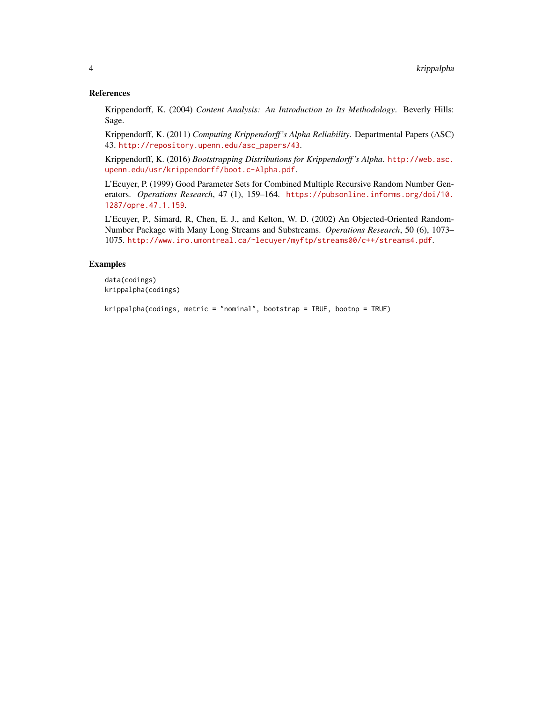#### References

Krippendorff, K. (2004) *Content Analysis: An Introduction to Its Methodology*. Beverly Hills: Sage.

Krippendorff, K. (2011) *Computing Krippendorff 's Alpha Reliability*. Departmental Papers (ASC) 43. [http://repository.upenn.edu/asc\\_papers/43](http://repository.upenn.edu/asc_papers/43).

Krippendorff, K. (2016) *Bootstrapping Distributions for Krippendorff 's Alpha*. [http://web.asc.](http://web.asc.upenn.edu/usr/krippendorff/boot.c-Alpha.pdf) [upenn.edu/usr/krippendorff/boot.c-Alpha.pdf](http://web.asc.upenn.edu/usr/krippendorff/boot.c-Alpha.pdf).

L'Ecuyer, P. (1999) Good Parameter Sets for Combined Multiple Recursive Random Number Generators. *Operations Research*, 47 (1), 159–164. [https://pubsonline.informs.org/doi/10.](https://pubsonline.informs.org/doi/10.1287/opre.47.1.159) [1287/opre.47.1.159](https://pubsonline.informs.org/doi/10.1287/opre.47.1.159).

L'Ecuyer, P., Simard, R, Chen, E. J., and Kelton, W. D. (2002) An Objected-Oriented Random-Number Package with Many Long Streams and Substreams. *Operations Research*, 50 (6), 1073– 1075. <http://www.iro.umontreal.ca/~lecuyer/myftp/streams00/c++/streams4.pdf>.

#### Examples

```
data(codings)
krippalpha(codings)
```
krippalpha(codings, metric = "nominal", bootstrap = TRUE, bootnp = TRUE)